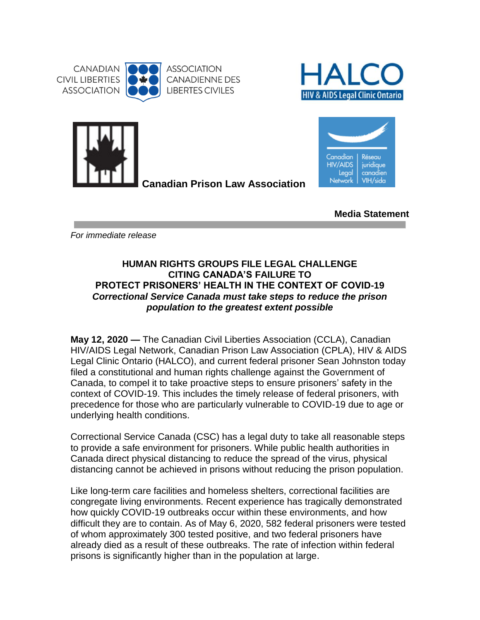





**Canadian Prison Law Association** 



**Media Statement**

*For immediate release*

## **HUMAN RIGHTS GROUPS FILE LEGAL CHALLENGE CITING CANADA'S FAILURE TO PROTECT PRISONERS' HEALTH IN THE CONTEXT OF COVID-19** *Correctional Service Canada must take steps to reduce the prison population to the greatest extent possible*

**May 12, 2020 —** The Canadian Civil Liberties Association (CCLA), Canadian HIV/AIDS Legal Network, Canadian Prison Law Association (CPLA), HIV & AIDS Legal Clinic Ontario (HALCO), and current federal prisoner Sean Johnston today filed a constitutional and human rights challenge against the Government of Canada, to compel it to take proactive steps to ensure prisoners' safety in the context of COVID-19. This includes the timely release of federal prisoners, with precedence for those who are particularly vulnerable to COVID-19 due to age or underlying health conditions.

Correctional Service Canada (CSC) has a legal duty to take all reasonable steps to provide a safe environment for prisoners. While public health authorities in Canada direct physical distancing to reduce the spread of the virus, physical distancing cannot be achieved in prisons without reducing the prison population.

Like long-term care facilities and homeless shelters, correctional facilities are congregate living environments. Recent experience has tragically demonstrated how quickly COVID-19 outbreaks occur within these environments, and how difficult they are to contain. As of May 6, 2020, 582 federal prisoners were tested of whom approximately 300 tested positive, and two federal prisoners have already died as a result of these outbreaks. The rate of infection within federal prisons is significantly higher than in the population at large.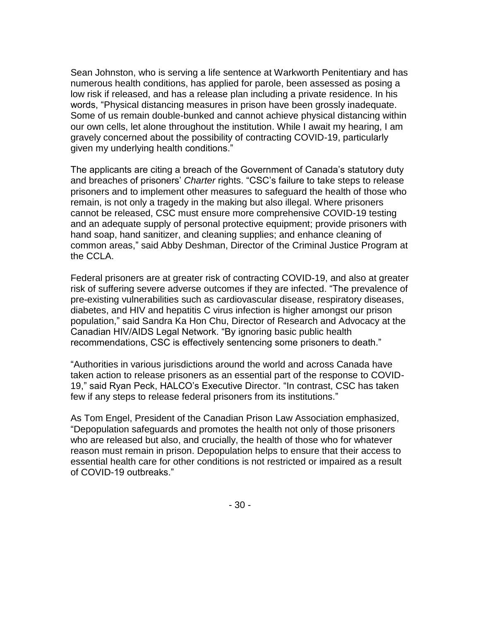Sean Johnston, who is serving a life sentence at Warkworth Penitentiary and has numerous health conditions, has applied for parole, been assessed as posing a low risk if released, and has a release plan including a private residence. In his words, "Physical distancing measures in prison have been grossly inadequate. Some of us remain double-bunked and cannot achieve physical distancing within our own cells, let alone throughout the institution. While I await my hearing, I am gravely concerned about the possibility of contracting COVID-19, particularly given my underlying health conditions."

The applicants are citing a breach of the Government of Canada's statutory duty and breaches of prisoners' *Charter* rights. "CSC's failure to take steps to release prisoners and to implement other measures to safeguard the health of those who remain, is not only a tragedy in the making but also illegal. Where prisoners cannot be released, CSC must ensure more comprehensive COVID-19 testing and an adequate supply of personal protective equipment; provide prisoners with hand soap, hand sanitizer, and cleaning supplies; and enhance cleaning of common areas," said Abby Deshman, Director of the Criminal Justice Program at the CCLA.

Federal prisoners are at greater risk of contracting COVID-19, and also at greater risk of suffering severe adverse outcomes if they are infected. "The prevalence of pre-existing vulnerabilities such as cardiovascular disease, respiratory diseases, diabetes, and HIV and hepatitis C virus infection is higher amongst our prison population," said Sandra Ka Hon Chu, Director of Research and Advocacy at the Canadian HIV/AIDS Legal Network. "By ignoring basic public health recommendations, CSC is effectively sentencing some prisoners to death."

"Authorities in various jurisdictions around the world and across Canada have taken action to release prisoners as an essential part of the response to COVID-19," said Ryan Peck, HALCO's Executive Director. "In contrast, CSC has taken few if any steps to release federal prisoners from its institutions."

As Tom Engel, President of the Canadian Prison Law Association emphasized, "Depopulation safeguards and promotes the health not only of those prisoners who are released but also, and crucially, the health of those who for whatever reason must remain in prison. Depopulation helps to ensure that their access to essential health care for other conditions is not restricted or impaired as a result of COVID-19 outbreaks."